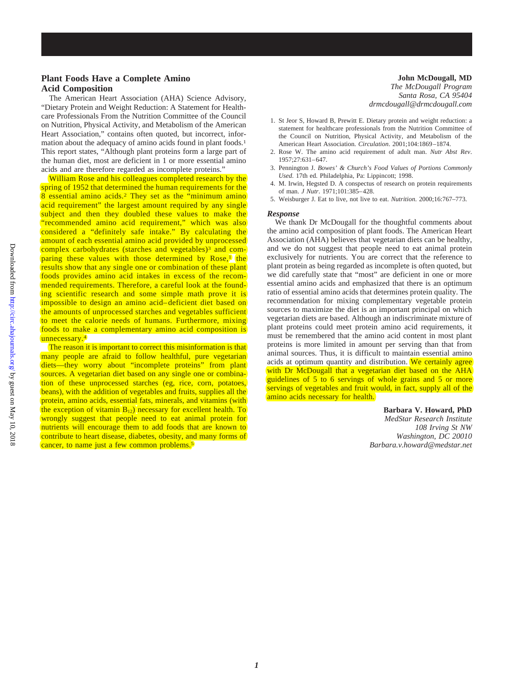## **Plant Foods Have a Complete Amino Acid Composition**

The American Heart Association (AHA) Science Advisory, "Dietary Protein and Weight Reduction: A Statement for Healthcare Professionals From the Nutrition Committee of the Council on Nutrition, Physical Activity, and Metabolism of the American Heart Association," contains often quoted, but incorrect, information about the adequacy of amino acids found in plant foods.1 This report states, "Although plant proteins form a large part of the human diet, most are deficient in 1 or more essential amino acids and are therefore regarded as incomplete proteins."

William Rose and his colleagues completed research by the spring of 1952 that determined the human requirements for the  $8$  essential amino acids.<sup>2</sup> They set as the "minimum amino" acid requirement" the largest amount required by any single subject and then they doubled these values to make the "recommended amino acid requirement," which was also considered a "definitely safe intake." By calculating the amount of each essential amino acid provided by unprocessed complex carbohydrates (starches and vegetables)<sup>3</sup> and comparing these values with those determined by Rose,<sup>1</sup> the results show that any single one or combination of these plant foods provides amino acid intakes in excess of the recommended requirements. Therefore, a careful look at the founding scientific research and some simple math prove it is impossible to design an amino acid–deficient diet based on the amounts of unprocessed starches and vegetables sufficient to meet the calorie needs of humans. Furthermore, mixing foods to make a complementary amino acid composition is unnecessary.<sup>4</sup>

The reason it is important to correct this misinformation is that many people are afraid to follow healthful, pure vegetarian diets—they worry about "incomplete proteins" from plant sources. A vegetarian diet based on any single one or combination of these unprocessed starches (eg, rice, corn, potatoes, beans), with the addition of vegetables and fruits, supplies all the protein, amino acids, essential fats, minerals, and vitamins (with the exception of vitamin  $B_{12}$ ) necessary for excellent health. To wrongly suggest that people need to eat animal protein for nutrients will encourage them to add foods that are known to contribute to heart disease, diabetes, obesity, and many forms of cancer, to name just a few common problems.<sup>5</sup>

**John McDougall, MD** *The McDougall Program Santa Rosa, CA 95404 drmcdougall@drmcdougall.com*

- 1. St Jeor S, Howard B, Prewitt E. Dietary protein and weight reduction: a statement for healthcare professionals from the Nutrition Committee of the Council on Nutrition, Physical Activity, and Metabolism of the American Heart Association. *Circulation*. 2001;104:1869–1874.
- 2. Rose W. The amino acid requirement of adult man. *Nutr Abst Rev*. 1957;27:631–647.
- 3. Pennington J. *Bowes' & Church's Food Values of Portions Commonly Used*. 17th ed. Philadelphia, Pa: Lippincott; 1998.
- 4. M. Irwin, Hegsted D. A conspectus of research on protein requirements of man. *J Nutr*. 1971;101:385–428.
- 5. Weisburger J. Eat to live, not live to eat. *Nutrition*. 2000;16:767–773.

## *Response*

We thank Dr McDougall for the thoughtful comments about the amino acid composition of plant foods. The American Heart Association (AHA) believes that vegetarian diets can be healthy, and we do not suggest that people need to eat animal protein exclusively for nutrients. You are correct that the reference to plant protein as being regarded as incomplete is often quoted, but we did carefully state that "most" are deficient in one or more essential amino acids and emphasized that there is an optimum ratio of essential amino acids that determines protein quality. The recommendation for mixing complementary vegetable protein sources to maximize the diet is an important principal on which vegetarian diets are based. Although an indiscriminate mixture of plant proteins could meet protein amino acid requirements, it must be remembered that the amino acid content in most plant proteins is more limited in amount per serving than that from animal sources. Thus, it is difficult to maintain essential amino acids at optimum quantity and distribution. We certainly agree with Dr McDougall that a vegetarian diet based on the AHA guidelines of 5 to 6 servings of whole grains and 5 or more servings of vegetables and fruit would, in fact, supply all of the amino acids necessary for health.

> **Barbara V. Howard, PhD** *MedStar Research Institute 108 Irving St NW Washington, DC 20010*

*Barbara.v.howard@medstar.net*

Downloaded from http://circ.ahajournals.org/ by guest on May 10, 2018 Downloaded from <http://circ.ahajournals.org/> by guest on May 10, 2018